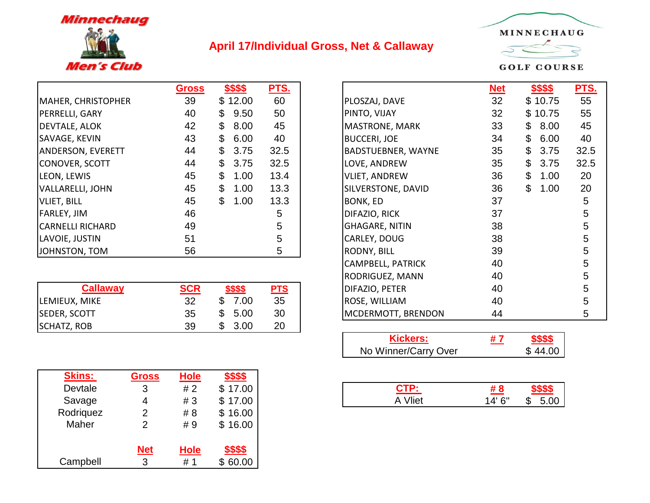

## **April 17/Individual Gross, Net & Callaway**



**GOLF COURSE** 

|                          | <b>Gross</b> | \$\$\$\$               | <u>PTS.</u> |                           | <b>Net</b> | \$\$\$\$            | <b>PTS</b> |
|--------------------------|--------------|------------------------|-------------|---------------------------|------------|---------------------|------------|
| MAHER, CHRISTOPHER       | 39           | \$12.00                | 60          | PLOSZAJ, DAVE             | 32         | \$10.75             | 55         |
| <b>PERRELLI, GARY</b>    | 40           | 9.50<br>$\mathbb{S}$   | 50          | PINTO, VIJAY              | 32         | \$10.75             | 55         |
| DEVTALE, ALOK            | 42           | 8.00<br>\$             | 45          | MASTRONE, MARK            | 33         | \$8.00              | 45         |
| SAVAGE, KEVIN            | 43           | 6.00<br>\$             | 40          | <b>BUCCERI, JOE</b>       | 34         | \$6.00              | 40         |
| <b>ANDERSON, EVERETT</b> | 44           | 3.75<br>\$             | 32.5        | <b>BADSTUEBNER, WAYNE</b> | 35         | 3.75<br>\$          | 32.5       |
| CONOVER, SCOTT           | 44           | 3.75<br>\$             | 32.5        | LOVE, ANDREW              | 35         | \$3.75              | 32.5       |
| LEON, LEWIS              | 45           | 1.00<br>\$             | 13.4        | <b>VLIET, ANDREW</b>      | 36         | $\mathbb S$<br>1.00 | 20         |
| VALLARELLI, JOHN         | 45           | $\mathfrak{L}$<br>1.00 | 13.3        | SILVERSTONE, DAVID        | 36         | \$<br>1.00          | 20         |
| VLIET, BILL              | 45           | 1.00<br>\$             | 13.3        | BONK, ED                  | 37         |                     | 5          |
| <b>FARLEY, JIM</b>       | 46           |                        | 5           | DIFAZIO, RICK             | 37         |                     | 5          |
| <b>CARNELLI RICHARD</b>  | 49           |                        | 5           | <b>GHAGARE, NITIN</b>     | 38         |                     | 5          |
| LAVOIE, JUSTIN           | 51           |                        | 5           | CARLEY, DOUG              | 38         |                     | 5          |
| JOHNSTON, TOM            | 56           |                        | 5           | <b>RODNY, BILL</b>        | 39         |                     | 5          |

|                     |     |                  |            | . . <del>.</del> <del>.</del> | .  |  |
|---------------------|-----|------------------|------------|-------------------------------|----|--|
| Callaway            | SCR | \$\$\$\$         | <b>PTS</b> | DIFAZIO, PETER                | 40 |  |
| LEMIEUX, MIKE       | 32  | ∩<br>7.00<br>۰D. | 35         | ROSE, WILLIAM                 | 40 |  |
| <b>SEDER, SCOTT</b> | 35  | \$<br>5.00       | 30         | <b>MCDERMOTT, BRENDON</b>     | 44 |  |
| <b>SCHATZ, ROB</b>  | 39  | 3.00<br>۰D.      | 20         |                               |    |  |

| <b>Skins:</b> | Gross      | <b>Hole</b> | \$\$\$\$ |
|---------------|------------|-------------|----------|
| Devtale       | 3          | #2          | \$17.00  |
| Savage        |            | #3          | \$17.00  |
| Rodriguez     | 2          | # 8         | \$16.00  |
| Maher         | 2          | #9          | \$16.00  |
|               |            |             |          |
|               | <b>Net</b> | <b>Hole</b> | \$\$\$\$ |
| Campbell      |            | # 1         |          |

| <u>Gross</u> | \$\$\$\$        | PTS.       |                          | <u>Net</u> | <u>\$\$\$\$</u> | <u>PTS.</u> |
|--------------|-----------------|------------|--------------------------|------------|-----------------|-------------|
| 39           | \$12.00         | 60         | PLOSZAJ, DAVE            | 32         | \$10.75         | 55          |
| 40           | \$<br>9.50      | 50         | PINTO, VIJAY             | 32         | \$10.75         | 55          |
| 42           | \$<br>8.00      | 45         | MASTRONE, MARK           | 33         | \$<br>8.00      | 45          |
| 43           | \$<br>6.00      | 40         | <b>BUCCERI, JOE</b>      | 34         | \$<br>6.00      | 40          |
| 44           | \$<br>3.75      | 32.5       | BADSTUEBNER, WAYNE       | 35         | \$<br>3.75      | 32.5        |
| 44           | \$<br>3.75      | 32.5       | LOVE, ANDREW             | 35         | \$<br>3.75      | 32.5        |
| 45           | \$<br>1.00      | 13.4       | <b>VLIET, ANDREW</b>     | 36         | \$<br>1.00      | 20          |
| 45           | \$<br>1.00      | 13.3       | SILVERSTONE, DAVID       | 36         | \$<br>1.00      | 20          |
| 45           | \$<br>1.00      | 13.3       | BONK, ED                 | 37         |                 | 5           |
| 46           |                 | 5          | DIFAZIO, RICK            | 37         |                 | 5           |
| 49           |                 | 5          | <b>GHAGARE, NITIN</b>    | 38         |                 | 5           |
| 51           |                 | 5          | CARLEY, DOUG             | 38         |                 | 5           |
| 56           |                 | 5          | RODNY, BILL              | 39         |                 | 5           |
|              |                 |            | <b>CAMPBELL, PATRICK</b> | 40         |                 | 5           |
|              |                 |            | RODRIGUEZ, MANN          | 40         |                 | 5           |
| <b>SCR</b>   | <u>\$\$\$\$</u> | <b>PTS</b> | DIFAZIO, PETER           | 40         |                 | 5           |
| 32           | 7.00<br>\$      | 35         | ROSE, WILLIAM            | 40         |                 | 5           |
| 35           | \$<br>5.00      | 30         | MCDERMOTT, BRENDON       | 44         |                 | 5           |
|              |                 |            |                          |            |                 |             |

| <b>Kickers:</b>      | # 7 | ፍፍፍፍ    |
|----------------------|-----|---------|
| No Winner/Carry Over |     | \$44.00 |

|   |     | ______      |                                                 |             |                 |
|---|-----|-------------|-------------------------------------------------|-------------|-----------------|
| 3 | # 2 | 7.00<br>τIJ | the contract of the contract of the contract of | _____       |                 |
| 4 | #3  | .00<br>w    | Vliet<br>$\mathbf{v}$                           | $14'$ $6''$ | 5.00<br>\$<br>h |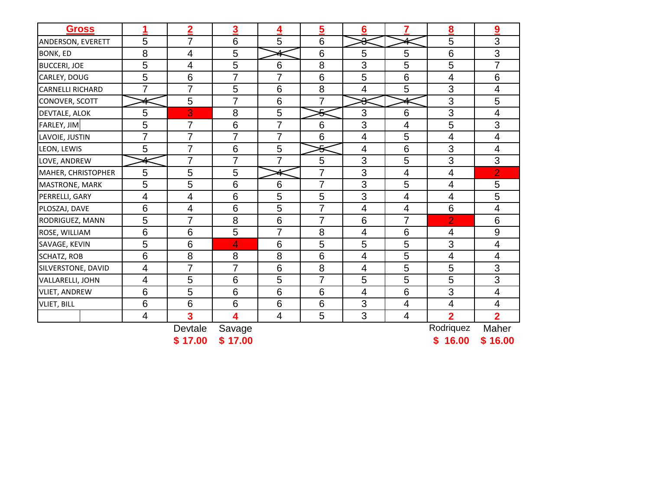| <b>Gross</b>            | 1              | $\overline{\mathbf{2}}$ | 3               | 4              | 5              | $6\phantom{1}6$          | 7                        | 8              | 9              |
|-------------------------|----------------|-------------------------|-----------------|----------------|----------------|--------------------------|--------------------------|----------------|----------------|
| ANDERSON, EVERETT       | 5              | 7                       | 6               | 5              | 6              | Δ<br>Ω                   |                          | 5              | 3              |
| BONK, ED                | 8              | 4                       | 5               |                | 6              | 5                        | 5                        | 6              | 3              |
| <b>BUCCERI, JOE</b>     | 5              | 4                       | 5               | 6              | 8              | 3                        | 5                        | 5              | $\overline{7}$ |
| CARLEY, DOUG            | 5              | $6\phantom{1}$          | $\overline{7}$  | $\overline{7}$ | 6              | 5                        | 6                        | 4              | 6              |
| <b>CARNELLI RICHARD</b> | $\overline{7}$ | $\overline{7}$          | 5               | 6              | 8              | 4                        | 5                        | 3              | 4              |
| CONOVER, SCOTT          |                | 5                       | 7               | 6              | 7              | ≏<br>ჟ                   |                          | 3              | 5              |
| DEVTALE, ALOK           | 5              | 3                       | 8               | 5              | ⋚              | 3                        | 6                        | 3              | 4              |
| FARLEY, JIM             | 5              | $\overline{7}$          | $6\phantom{1}6$ | $\overline{7}$ | 6              | 3                        | $\overline{4}$           | 5              | 3              |
| LAVOIE, JUSTIN          | $\overline{7}$ | $\overline{7}$          | 7               | $\overline{7}$ | 6              | $\overline{\mathcal{A}}$ | 5                        | 4              | 4              |
| LEON, LEWIS             | 5              | 7                       | 6               | 5              | ے<br>ᢦ         | $\overline{\mathcal{A}}$ | 6                        | 3              | 4              |
| LOVE, ANDREW            |                | $\overline{7}$          | 7               | $\overline{7}$ | 5              | 3                        | 5                        | 3              | 3              |
| MAHER, CHRISTOPHER      | 5              | 5                       | 5               | Λ.             | $\overline{7}$ | 3                        | $\overline{\mathbf{4}}$  | 4              | $\overline{2}$ |
| MASTRONE, MARK          | 5              | 5                       | $6\phantom{1}6$ | 6              | 7              | 3                        | 5                        | 4              | 5              |
| PERRELLI, GARY          | 4              | 4                       | $6\phantom{1}6$ | 5              | 5              | 3                        | $\overline{\mathcal{A}}$ | 4              | $\overline{5}$ |
| PLOSZAJ, DAVE           | 6              | 4                       | 6               | 5              | 7              | $\overline{\mathcal{A}}$ | $\overline{\mathcal{A}}$ | 6              | 4              |
| RODRIGUEZ, MANN         | 5              | 7                       | 8               | 6              | $\overline{7}$ | 6                        | $\overline{7}$           | $\overline{2}$ | 6              |
| ROSE, WILLIAM           | 6              | 6                       | 5               | $\overline{7}$ | 8              | 4                        | 6                        | 4              | 9              |
| SAVAGE, KEVIN           | 5              | 6                       | 4               | 6              | 5              | 5                        | 5                        | 3              | 4              |
| SCHATZ, ROB             | 6              | 8                       | 8               | 8              | 6              | $\overline{\mathcal{A}}$ | 5                        | 4              | 4              |
| SILVERSTONE, DAVID      | 4              | $\overline{7}$          | $\overline{7}$  | 6              | 8              | $\overline{4}$           | 5                        | 5              | 3              |
| VALLARELLI, JOHN        | 4              | 5                       | $6\phantom{1}6$ | 5              | 7              | 5                        | 5                        | 5              | 3              |
| <b>VLIET, ANDREW</b>    | 6              | 5                       | 6               | 6              | 6              | $\overline{\mathcal{A}}$ | 6                        | 3              | 4              |
| <b>VLIET, BILL</b>      | 6              | $6\phantom{1}6$         | $6\phantom{1}6$ | 6              | 6              | 3                        | $\overline{4}$           | 4              | 4              |
|                         | 4              | 3                       | 4               | $\overline{4}$ | 5              | 3                        | $\overline{4}$           | $\overline{2}$ | $\overline{2}$ |
|                         |                | Devtale                 | Savage          |                |                |                          |                          | Rodriquez      | Maher          |
|                         |                | \$17.00                 | \$17.00         |                |                |                          |                          | 16.00<br>\$    | \$16.00        |